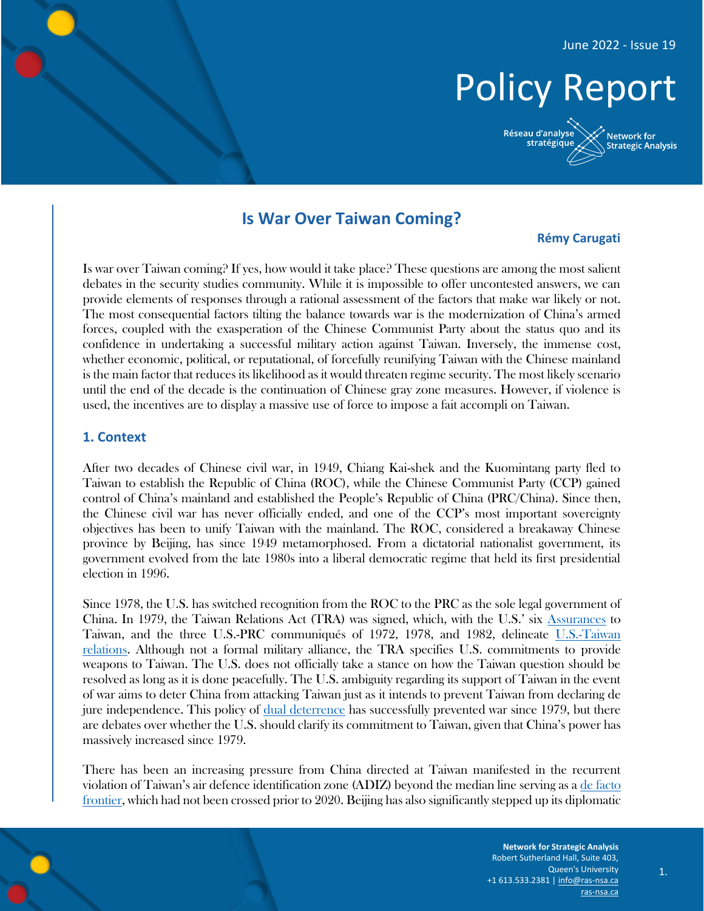# Policy Report

Réseau d'analyse Network for stratégique **Strategic Analysis** 

# **Is War Over Taiwan Coming?**

#### **Rémy Carugati**

Is war over Taiwan coming? If yes, how would it take place? These questions are among the most salient debates in the security studies community. While it is impossible to offer uncontested answers, we can provide elements of responses through a rational assessment of the factors that make war likely or not. The most consequential factors tilting the balance towards war is the modernization of China's armed forces, coupled with the exasperation of the Chinese Communist Party about the status quo and its confidence in undertaking a successful military action against Taiwan. Inversely, the immense cost, whether economic, political, or reputational, of forcefully reunifying Taiwan with the Chinese mainland is the main factor that reduces its likelihood as it would threaten regime security. The most likely scenario until the end of the decade is the continuation of Chinese gray zone measures. However, if violence is used, the incentives are to display a massive use of force to impose a fait accompli on Taiwan.

#### **1. Context**

After two decades of Chinese civil war, in 1949, Chiang Kai-shek and the Kuomintang party fled to Taiwan to establish the Republic of China (ROC), while the Chinese Communist Party (CCP) gained control of China's mainland and established the People's Republic of China (PRC/China). Since then, the Chinese civil war has never officially ended, and one of the CCP's most important sovereignty objectives has been to unify Taiwan with the mainland. The ROC, considered a breakaway Chinese province by Beijing, has since 1949 metamorphosed. From a dictatorial nationalist government, its government evolved from the late 1980s into a liberal democratic regime that held its first presidential election in 1996.

Since 1978, the U.S. has switched recognition from the ROC to the PRC as the sole legal government of China. In 1979, the Taiwan Relations Act (TRA) was signed, which, with the U.S.' six [Assurances](https://sgp.fas.org/crs/row/IF11665.pdf) to Taiwan, and the three U.S.-PRC communiqués of 1972, 1978, and 1982, delineate [U.S.-Taiwan](https://www.europarl.europa.eu/RegData/etudes/ATAG/2022/729280/EPRS_ATA(2022)729280_EN.pdf)  [relations.](https://www.europarl.europa.eu/RegData/etudes/ATAG/2022/729280/EPRS_ATA(2022)729280_EN.pdf) Although not a formal military alliance, the TRA specifies U.S. commitments to provide weapons to Taiwan. The U.S. does not officially take a stance on how the Taiwan question should be resolved as long as it is done peacefully. The U.S. ambiguity regarding its support of Taiwan in the event of war aims to deter China from attacking Taiwan just as it intends to prevent Taiwan from declaring de jure independence. This policy of [dual deterrence](file:///E:/Users/remycarugati/Downloads/RAND_RR3144.pdf) has successfully prevented war since 1979, but there are debates over whether the U.S. should clarify its commitment to Taiwan, given that China's power has massively increased since 1979.

There has been an increasing pressure from China directed at Taiwan manifested in the recurrent violation of Taiwan's air defence identification zone (ADIZ) beyond the median line serving as a [de facto](https://macdonaldlaurier.ca/china-ends-median-line-taiwan-strait/)  [frontier,](https://macdonaldlaurier.ca/china-ends-median-line-taiwan-strait/) which had not been crossed prior to 2020. Beijing has also significantly stepped up its diplomatic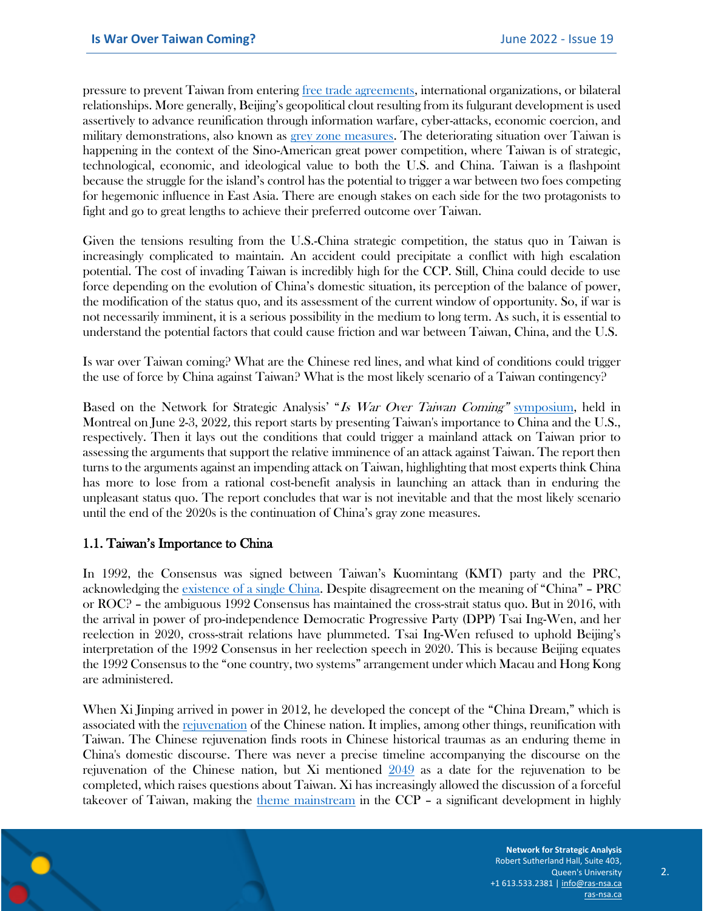pressure to prevent Taiwan from entering [free trade agreements,](https://thediplomat.com/2020/11/taiwan-frozen-out-of-rcep-explores-trade-agreement-options-with-us/) international organizations, or bilateral relationships. More generally, Beijing's geopolitical clout resulting from its fulgurant development is used assertively to advance reunification through information warfare, cyber-attacks, economic coercion, and military demonstrations, also known as [grey zone measures.](https://www.geostrategy.org.uk/research/taiwan-in-the-next-decade-no-war-but-much-tension/) The deteriorating situation over Taiwan is happening in the context of the Sino-American great power competition, where Taiwan is of strategic, technological, economic, and ideological value to both the U.S. and China. Taiwan is a flashpoint because the struggle for the island's control has the potential to trigger a war between two foes competing for hegemonic influence in East Asia. There are enough stakes on each side for the two protagonists to fight and go to great lengths to achieve their preferred outcome over Taiwan.

Given the tensions resulting from the U.S.-China strategic competition, the status quo in Taiwan is increasingly complicated to maintain. An accident could precipitate a conflict with high escalation potential. The cost of invading Taiwan is incredibly high for the CCP. Still, China could decide to use force depending on the evolution of China's domestic situation, its perception of the balance of power, the modification of the status quo, and its assessment of the current window of opportunity. So, if war is not necessarily imminent, it is a serious possibility in the medium to long term. As such, it is essential to understand the potential factors that could cause friction and war between Taiwan, China, and the U.S.

Is war over Taiwan coming? What are the Chinese red lines, and what kind of conditions could trigger the use of force by China against Taiwan? What is the most likely scenario of a Taiwan contingency?

Based on the Network for Strategic Analysis' "Is War Over Taiwan Coming" [symposium,](https://ras-nsa.ca/event/is-war-over-taiwan-coming/) held in Montreal on June 2-3, 2022, this report starts by presenting Taiwan's importance to China and the U.S., respectively. Then it lays out the conditions that could trigger a mainland attack on Taiwan prior to assessing the arguments that support the relative imminence of an attack against Taiwan. The report then turns to the arguments against an impending attack on Taiwan, highlighting that most experts think China has more to lose from a rational cost-benefit analysis in launching an attack than in enduring the unpleasant status quo. The report concludes that war is not inevitable and that the most likely scenario until the end of the 2020s is the continuation of China's gray zone measures.

#### 1.1. Taiwan's Importance to China

In 1992, the Consensus was signed between Taiwan's Kuomintang (KMT) party and the PRC, acknowledging the [existence of a single China](https://www.rand.org/blog/2020/06/is-the-1992-consensus-fading-away-in-the-taiwan-strait.html). Despite disagreement on the meaning of "China" – PRC or ROC? – the ambiguous 1992 Consensus has maintained the cross-strait status quo. But in 2016, with the arrival in power of pro-independence Democratic Progressive Party (DPP) Tsai Ing-Wen, and her reelection in 2020, cross-strait relations have plummeted. Tsai Ing-Wen refused to uphold Beijing's interpretation of the 1992 Consensus in her reelection speech in 2020. This is because Beijing equates the 1992 Consensus to the "one country, two systems" arrangement under which Macau and Hong Kong are administered.

When Xi Jinping arrived in power in 2012, he developed the concept of the "China Dream," which is associated with the [rejuvenation](https://www.prcleader.org/swaine-3) of the Chinese nation. It implies, among other things, reunification with Taiwan. The Chinese rejuvenation finds roots in Chinese historical traumas as an enduring theme in China's domestic discourse. There was never a precise timeline accompanying the discourse on the rejuvenation of the Chinese nation, but Xi mentioned [2049](http://www.npc.gov.cn/englishnpc/c23934/202006/32191c5bbdb04cbab6df01e5077d1c60.shtml) as a date for the rejuvenation to be completed, which raises questions about Taiwan. Xi has increasingly allowed the discussion of a forceful takeover of Taiwan, making the [theme mainstream](https://www.foreignaffairs.com/articles/china/2021-06-03/china-taiwan-war-temptation) in the CCP – a significant development in highly

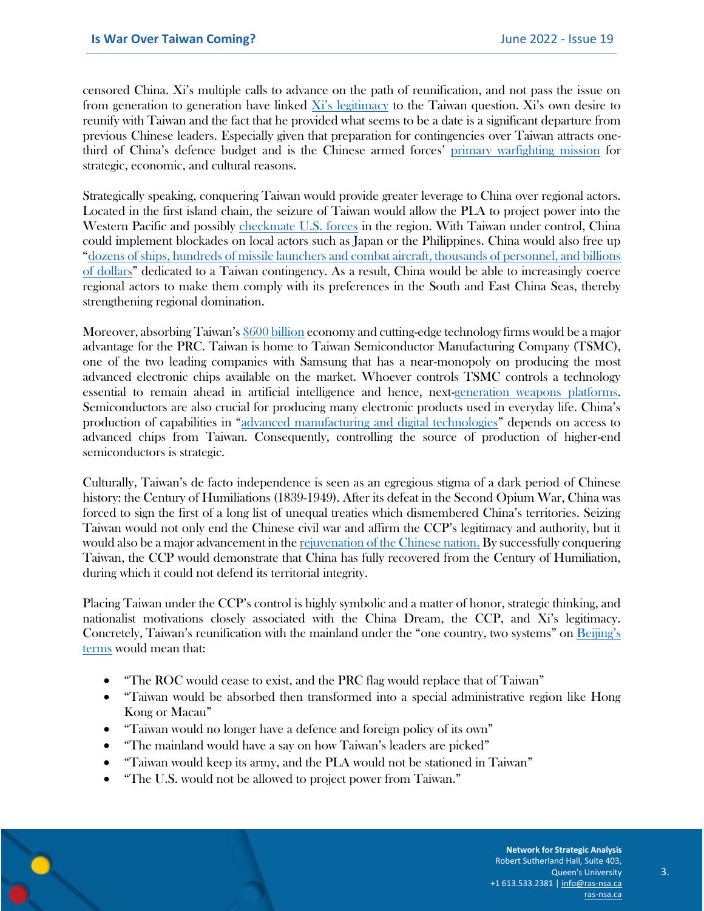censored China. Xi's multiple calls to advance on the path of reunification, and not pass the issue on from generation to generation have linked  $Xi'$  legitimacy to the Taiwan question. Xi's own desire to reunify with Taiwan and the fact that he provided what seems to be a date is a significant departure from previous Chinese leaders. Especially given that preparation for contingencies over Taiwan attracts onethird of China's defence budget and is the Chinese armed forces' [primary warfighting mission](https://www.belfercenter.org/sites/default/files/files/publication/ISEC_a_00294-Beckley_proof3.pdf) for strategic, economic, and cultural reasons.

Strategically speaking, conquering Taiwan would provide greater leverage to China over regional actors. Located in the first island chain, the seizure of Taiwan would allow the PLA to project power into the Western Pacific and possibly [checkmate U.S. forces](https://www.nbr.org/publication/strategic-clarity-and-the-future-of-u-s-taiwan-foreign-relations/) in the region. With Taiwan under control, China could implement blockades on local actors such as Japan or the Philippines. China would also free up "[dozens of ships, hundreds of missile launchers and combat aircraft, thousands of personnel, and billions](https://www.belfercenter.org/sites/default/files/files/publication/ISEC_a_00294-Beckley_proof3.pdf)  [of dollars](https://www.belfercenter.org/sites/default/files/files/publication/ISEC_a_00294-Beckley_proof3.pdf)" dedicated to a Taiwan contingency. As a result, China would be able to increasingly coerce regional actors to make them comply with its preferences in the South and East China Seas, thereby strengthening regional domination.

Moreover, absorbing Taiwan's [\\$600 billion](https://thediplomat.com/2021/08/why-taiwan-matters-to-the-united-states/) economy and cutting-edge technology firms would be a major advantage for the PRC. Taiwan is home to Taiwan Semiconductor Manufacturing Company (TSMC), one of the two leading companies with Samsung that has a near-monopoly on producing the most advanced electronic chips available on the market. Whoever controls TSMC controls a technology essential to remain ahead in artificial intelligence and hence, next[-generation weapons platforms.](https://www.eurasiagroup.net/files/upload/Geopolitics-Semiconductors.pdf) Semiconductors are also crucial for producing many electronic products used in everyday life. China's production of capabilities in "[advanced manufacturing and digital technologies](https://www.eurasiagroup.net/files/upload/Geopolitics-Semiconductors.pdf)" depends on access to advanced chips from Taiwan. Consequently, controlling the source of production of higher-end semiconductors is strategic.

Culturally, Taiwan's de facto independence is seen as an egregious stigma of a dark period of Chinese history: the Century of Humiliations (1839-1949). After its defeat in the Second Opium War, China was forced to sign the first of a long list of unequal treaties which dismembered China's territories. Seizing Taiwan would not only end the Chinese civil war and affirm the CCP's legitimacy and authority, but it would also be a major advancement in th[e rejuvenation of the Chinese nation.](https://nationalinterest.org/blog/skeptics/rip-taiwan-26676?page=0%2C2) By successfully conquering Taiwan, the CCP would demonstrate that China has fully recovered from the Century of Humiliation, during which it could not defend its territorial integrity.

Placing Taiwan under the CCP's control is highly symbolic and a matter of honor, strategic thinking, and nationalist motivations closely associated with the China Dream, the CCP, and Xi's legitimacy. Concretely, Taiwan's reunification with the mainland under the "one country, two systems" on [Beijing's](https://cdn.cfr.org/sites/default/files/report_pdf/csr90_1.pdf)  [terms](https://cdn.cfr.org/sites/default/files/report_pdf/csr90_1.pdf) would mean that:

- "The ROC would cease to exist, and the PRC flag would replace that of Taiwan"
- "Taiwan would be absorbed then transformed into a special administrative region like Hong Kong or Macau"
- "Taiwan would no longer have a defence and foreign policy of its own"
- "The mainland would have a say on how Taiwan's leaders are picked"
- "Taiwan would keep its army, and the PLA would not be stationed in Taiwan"
- "The U.S. would not be allowed to project power from Taiwan."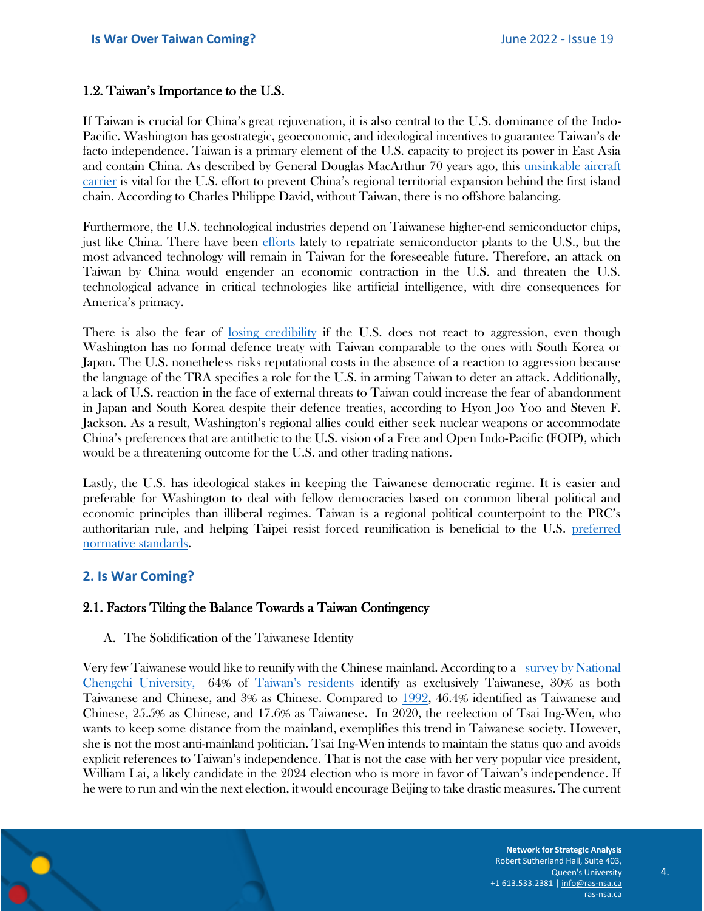#### 1.2. Taiwan's Importance to the U.S.

If Taiwan is crucial for China's great rejuvenation, it is also central to the U.S. dominance of the Indo-Pacific. Washington has geostrategic, geoeconomic, and ideological incentives to guarantee Taiwan's de facto independence. Taiwan is a primary element of the U.S. capacity to project its power in East Asia and contain China. As described by General Douglas MacArthur 70 years ago, this [unsinkable aircraft](https://www.ft.com/content/22471013-a931-4e60-a8ee-29efba846ab4)  [carrier](https://www.ft.com/content/22471013-a931-4e60-a8ee-29efba846ab4) is vital for the U.S. effort to prevent China's regional territorial expansion behind the first island chain. According to Charles Philippe David, without Taiwan, there is no offshore balancing.

Furthermore, the U.S. technological industries depend on Taiwanese higher-end semiconductor chips, just like China. There have been [efforts](https://www.whitehouse.gov/briefing-room/statements-releases/2022/01/21/fact-sheet-biden-harris-administration-bringing-semiconductor-manufacturing-back-to-america-2/) lately to repatriate semiconductor plants to the U.S., but the most advanced technology will remain in Taiwan for the foreseeable future. Therefore, an attack on Taiwan by China would engender an economic contraction in the U.S. and threaten the U.S. technological advance in critical technologies like artificial intelligence, with dire consequences for America's primacy.

There is also the fear of [losing credibility](https://www.nbr.org/publication/strategic-clarity-and-the-future-of-u-s-taiwan-foreign-relations/) if the U.S. does not react to aggression, even though Washington has no formal defence treaty with Taiwan comparable to the ones with South Korea or Japan. The U.S. nonetheless risks reputational costs in the absence of a reaction to aggression because the language of the TRA specifies a role for the U.S. in arming Taiwan to deter an attack. Additionally, a lack of U.S. reaction in the face of external threats to Taiwan could increase the fear of abandonment in Japan and South Korea despite their defence treaties, according to Hyon Joo Yoo and Steven F. Jackson. As a result, Washington's regional allies could either seek nuclear weapons or accommodate China's preferences that are antithetic to the U.S. vision of a Free and Open Indo-Pacific (FOIP), which would be a threatening outcome for the U.S. and other trading nations.

Lastly, the U.S. has ideological stakes in keeping the Taiwanese democratic regime. It is easier and preferable for Washington to deal with fellow democracies based on common liberal political and economic principles than illiberal regimes. Taiwan is a regional political counterpoint to the PRC's authoritarian rule, and helping Taipei resist forced reunification is beneficial to the U.S. [preferred](https://thediplomat.com/2021/08/why-taiwan-matters-to-the-united-states/)  [normative standards.](https://thediplomat.com/2021/08/why-taiwan-matters-to-the-united-states/)

## **2. Is War Coming?**

## 2.1. Factors Tilting the Balance Towards a Taiwan Contingency

#### A. The Solidification of the Taiwanese Identity

Very few Taiwanese would like to reunify with the Chinese mainland. According to [a survey by National](https://esc.nccu.edu.tw/PageDoc/Detail?fid=7800&id=6961)  [Chengchi University,](https://esc.nccu.edu.tw/PageDoc/Detail?fid=7800&id=6961) 64% of Taiwan'[s residents](https://www.cfr.org/backgrounder/china-taiwan-relations-tension-us-policy#chapter-title-0-6) identify as exclusively Taiwanese, 30% as both Taiwanese and Chinese, and 3% as Chinese. Compared to [1992,](https://www.foreignaffairs.com/articles/asia/2018-07-27/storm-brewing-taiwan-strait) 46.4% identified as Taiwanese and Chinese, 25.5% as Chinese, and 17.6% as Taiwanese. In 2020, the reelection of Tsai Ing-Wen, who wants to keep some distance from the mainland, exemplifies this trend in Taiwanese society. However, she is not the most anti-mainland politician. Tsai Ing-Wen intends to maintain the status quo and avoids explicit references to Taiwan's independence. That is not the case with her very popular vice president, William Lai, a likely candidate in the 2024 election who is more in favor of Taiwan's independence. If he were to run and win the next election, it would encourage Beijing to take drastic measures. The current

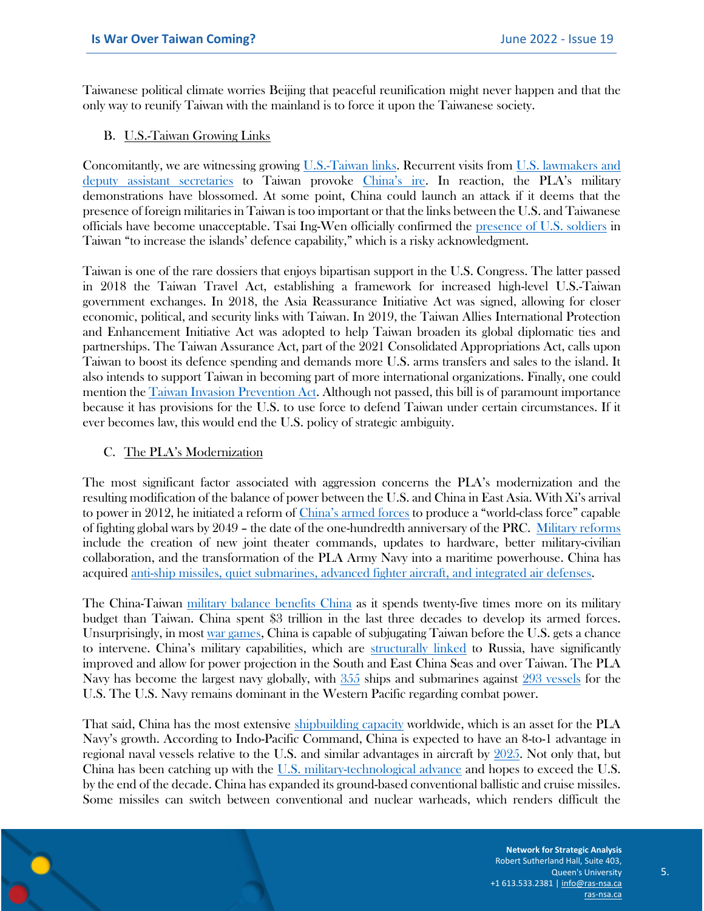Taiwanese political climate worries Beijing that peaceful reunification might never happen and that the only way to reunify Taiwan with the mainland is to force it upon the Taiwanese society.

#### B. U.S.-Taiwan Growing Links

Concomitantly, we are witnessing growing [U.S.-Taiwan links.](https://www.europarl.europa.eu/RegData/etudes/ATAG/2022/729280/EPRS_ATA(2022)729280_EN.pdf) Recurrent visits from [U.S. lawmakers and](file:///E:/Users/remycarugati/Downloads/RAND_RR3144.pdf)  [deputy assistant secretaries](file:///E:/Users/remycarugati/Downloads/RAND_RR3144.pdf) to Taiwan provoke [China's ire.](https://www.globaltimes.cn/page/202204/1259898.shtml) In reaction, the PLA's military demonstrations have blossomed. At some point, China could launch an attack if it deems that the presence of foreign militaries in Taiwan is too important or that the links between the U.S. and Taiwanese officials have become unacceptable. Tsai Ing-Wen officially confirmed the [presence of U.S. soldiers](https://www.globaltimes.cn/page/202111/1237935.shtml?id=11) in Taiwan "to increase the islands' defence capability," which is a risky acknowledgment.

Taiwan is one of the rare dossiers that enjoys bipartisan support in the U.S. Congress. The latter passed in 2018 the Taiwan Travel Act, establishing a framework for increased high-level U.S.-Taiwan government exchanges. In 2018, the Asia Reassurance Initiative Act was signed, allowing for closer economic, political, and security links with Taiwan. In 2019, the Taiwan Allies International Protection and Enhancement Initiative Act was adopted to help Taiwan broaden its global diplomatic ties and partnerships. The Taiwan Assurance Act, part of the 2021 Consolidated Appropriations Act, calls upon Taiwan to boost its defence spending and demands more U.S. arms transfers and sales to the island. It also intends to support Taiwan in becoming part of more international organizations. Finally, one could mention th[e Taiwan Invasion Prevention Act.](https://www.taiwannews.com.tw/en/news/4130946) Although not passed, this bill is of paramount importance because it has provisions for the U.S. to use force to defend Taiwan under certain circumstances. If it ever becomes law, this would end the U.S. policy of strategic ambiguity.

#### C. The PLA's Modernization

The most significant factor associated with aggression concerns the PLA's modernization and the resulting modification of the balance of power between the U.S. and China in East Asia. With Xi's arrival to power in 2012, he initiated a reform of [China's armed forces](https://www.cfr.org/backgrounder/chinas-modernizing-military) to produce a "world-class force" capable of fighting global wars by 2049 – the date of the one-hundredth anniversary of the PRC. [Military reforms](https://www.cfr.org/backgrounder/chinas-modernizing-military) include the creation of new joint theater commands, updates to hardware, better military-civilian collaboration, and the transformation of the PLA Army Navy into a maritime powerhouse. China has acquired [anti-ship missiles, quiet submarines, advanced fighter aircraft, and integrated air defenses.](https://tnsr.org/2019/02/after-the-responsible-stakeholder-what-debating-americas-china-strategy-2/#_ftn15)

The China-Taiwan [military balance benefits China](https://www.foreignaffairs.com/articles/china/2021-06-03/china-taiwan-war-temptation) as it spends twenty-five times more on its military budget than Taiwan. China spent \$3 trillion in the last three decades to develop its armed forces. Unsurprisingly, in most [war games,](https://www.reuters.com/investigates/special-report/taiwan-china-wargames/) China is capable of subjugating Taiwan before the U.S. gets a chance to intervene. China's military capabilities, which are [structurally linked](https://thediplomat.com/2022/04/what-the-pla-is-learning-from-russias-ukraine-invasion/) to Russia, have significantly improved and allow for power projection in the South and East China Seas and over Taiwan. The PLA Navy has become the largest navy globally, with [355](https://media.defense.gov/2021/Nov/03/2002885874/-1/-1/0/2021-CMPR-FINAL.PDF) ships and submarines against [293 vessels](https://thediplomat.com/2022/04/what-the-pla-is-learning-from-russias-ukraine-invasion/) for the U.S. The U.S. Navy remains dominant in the Western Pacific regarding combat power.

That said, China has the most extensive [shipbuilding capacity](https://thediplomat.com/2022/04/what-the-pla-is-learning-from-russias-ukraine-invasion/) worldwide, which is an asset for the PLA Navy's growth. According to Indo-Pacific Command, China is expected to have an 8-to-1 advantage in regional naval vessels relative to the U.S. and similar advantages in aircraft by [2025.](https://warontherocks.com/2021/03/the-state-of-deterrence-by-denial/) Not only that, but China has been catching up with the [U.S. military-technological advance](https://warontherocks.com/2021/03/the-state-of-deterrence-by-denial/) and hopes to exceed the U.S. by the end of the decade. China has expanded its ground-based conventional ballistic and cruise missiles. Some missiles can switch between conventional and nuclear warheads, which renders difficult the

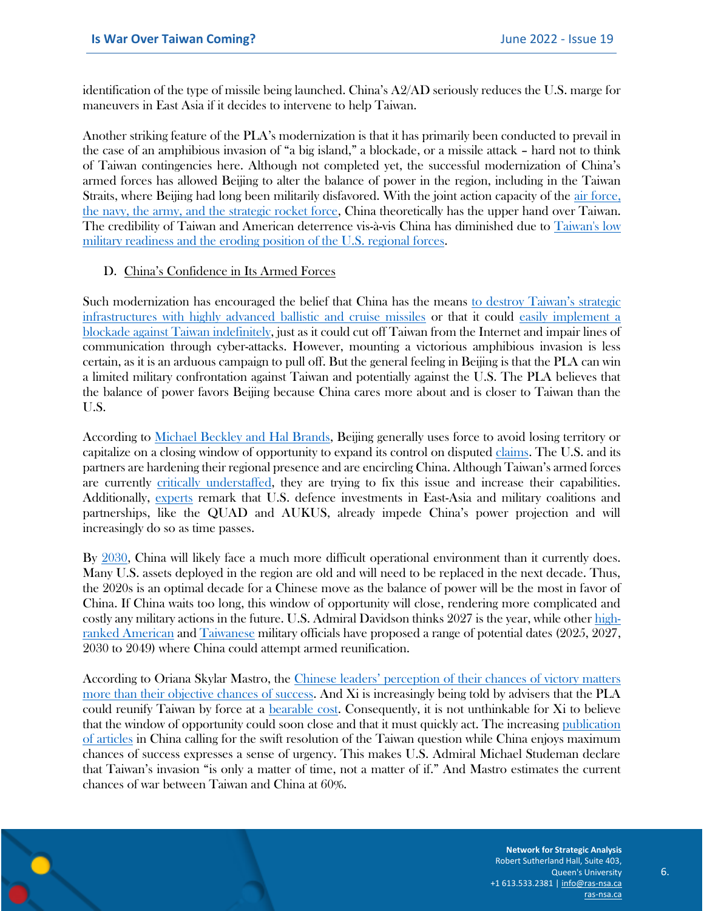identification of the type of missile being launched. China's A2/AD seriously reduces the U.S. marge for maneuvers in East Asia if it decides to intervene to help Taiwan.

Another striking feature of the PLA's modernization is that it has primarily been conducted to prevail in the case of an amphibious invasion of "a big island," a blockade, or a missile attack – hard not to think of Taiwan contingencies here. Although not completed yet, the successful modernization of China's armed forces has allowed Beijing to alter the balance of power in the region, including in the Taiwan Straits, where Beijing had long been militarily disfavored. With the joint action capacity of the [air force,](https://www.foreignaffairs.com/articles/china/2021-06-03/china-taiwan-war-temptation) [the navy, the army, and the strategic rocket force,](https://www.foreignaffairs.com/articles/china/2021-06-03/china-taiwan-war-temptation) China theoretically has the upper hand over Taiwan. The credibility of Taiwan and American deterrence vis-à-vis China has diminished due to [Taiwan's low](file:///E:/Users/remycarugati/Downloads/RAND_RR3144.pdf)  [military readiness and the eroding position of the U.S. regional forces.](file:///E:/Users/remycarugati/Downloads/RAND_RR3144.pdf)

#### D. China's Confidence in Its Armed Forces

Such modernization has encouraged the belief that China has the means [to destroy Taiwan's strategic](https://fsi.stanford.edu/news/taiwan-temptation)  [infrastructures with highly advanced ballistic and cruise missiles](https://fsi.stanford.edu/news/taiwan-temptation) or that it could [easily implement a](https://www.lowyinstitute.org/the-interpreter/unfinished-chinese-civil-war)  [blockade against Taiwan indefinitely,](https://www.lowyinstitute.org/the-interpreter/unfinished-chinese-civil-war) just as it could cut off Taiwan from the Internet and impair lines of communication through cyber-attacks. However, mounting a victorious amphibious invasion is less certain, as it is an arduous campaign to pull off. But the general feeling in Beijing is that the PLA can win a limited military confrontation against Taiwan and potentially against the U.S. The PLA believes that the balance of power favors Beijing because China cares more about and is closer to Taiwan than the U.S.

According to [Michael Beckley and Hal Brands,](https://www.theatlantic.com/ideas/archive/2021/11/us-china-war/620571/) Beijing generally uses force to avoid losing territory or capitalize on a closing window of opportunity to expand its control on disputed [claims.](https://www.theatlantic.com/ideas/archive/2021/11/us-china-war/620571/) The U.S. and its partners are hardening their regional presence and are encircling China. Although Taiwan's armed forces are currently [critically understaffed,](https://foreignpolicy.com/2020/02/15/china-threat-invasion-conscription-taiwans-military-is-a-hollow-shell/) they are trying to fix this issue and increase their capabilities. Additionally, [experts](https://www.wsj.com/articles/the-fight-for-taiwan-could-come-soon-china-navy-defense-11635349097) remark that U.S. defence investments in East-Asia and military coalitions and partnerships, like the QUAD and AUKUS, already impede China's power projection and will increasingly do so as time passes.

By [2030,](https://www.theatlantic.com/ideas/archive/2021/11/us-china-war/620571/) China will likely face a much more difficult operational environment than it currently does. Many U.S. assets deployed in the region are old and will need to be replaced in the next decade. Thus, the 2020s is an optimal decade for a Chinese move as the balance of power will be the most in favor of China. If China waits too long, this window of opportunity will close, rendering more complicated and costly any military actions in the future. U.S. Admiral Davidson thinks 2027 is the year, while other [high](https://news.usni.org/2021/06/23/milley-china-wants-capability-to-take-taiwan-by-2027-sees-no-near-term-intent-to-invade)[ranked American](https://news.usni.org/2021/06/23/milley-china-wants-capability-to-take-taiwan-by-2027-sees-no-near-term-intent-to-invade) an[d Taiwanese](https://www.cnn.com/2021/10/06/asia/taiwan-defense-minister-china-attack-intl-hnk/index.html) military officials have proposed a range of potential dates (2025, 2027, 2030 to 2049) where China could attempt armed reunification.

According to Oriana Skylar Mastro, the [Chinese leaders' perception of their chances of victory matters](https://www.foreignaffairs.com/articles/china/2021-06-03/china-taiwan-war-temptation)  [more than their objective chances of success.](https://www.foreignaffairs.com/articles/china/2021-06-03/china-taiwan-war-temptation) And Xi is increasingly being told by advisers that the PLA could reunify Taiwan by force at a [bearable cost.](https://www.foreignaffairs.com/articles/china/2021-06-03/china-taiwan-war-temptation) Consequently, it is not unthinkable for Xi to believe that the window of opportunity could soon close and that it must quickly act. The increasing [publication](https://www.prcleader.org/swaine-3)  [of articles](https://www.prcleader.org/swaine-3) in China calling for the swift resolution of the Taiwan question while China enjoys maximum chances of success expresses a sense of urgency. This makes U.S. Admiral Michael Studeman declare that Taiwan's invasion "is only a matter of time, not a matter of if." And Mastro estimates the current chances of war between Taiwan and China at 60%.

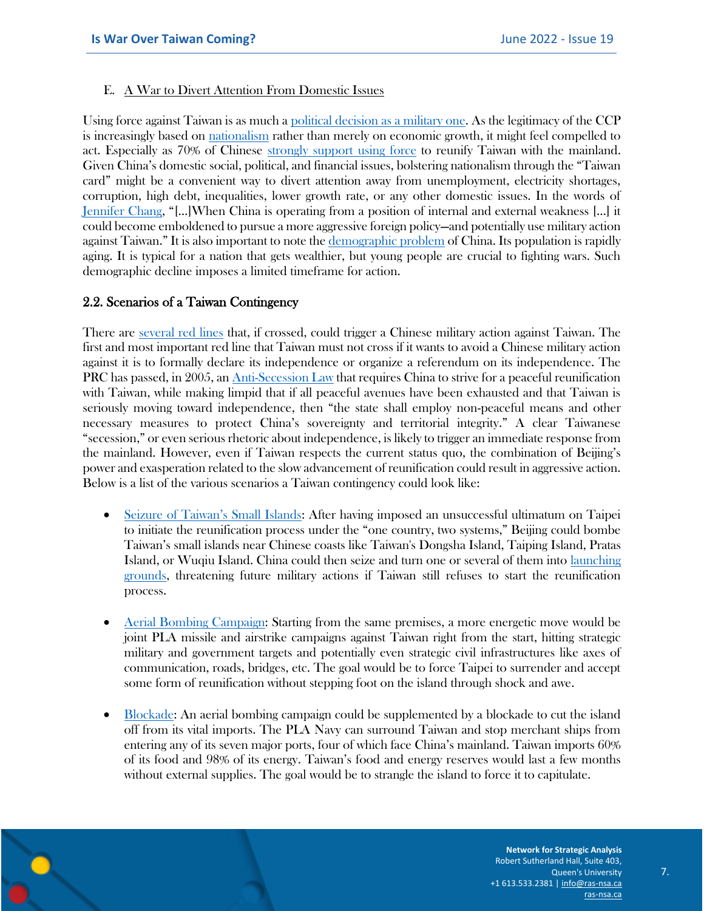#### E. A War to Divert Attention From Domestic Issues

Using force against Taiwan is as much a [political decision as a military one.](https://foreignpolicy.com/2022/04/19/china-invasion-ukraine-taiwan/) As the legitimacy of the CCP is increasingly based on [nationalism](https://foreignpolicy.com/2022/04/19/china-invasion-ukraine-taiwan/) rather than merely on economic growth, it might feel compelled to act. Especially as 70% of Chinese [strongly support using force](https://www.foreignaffairs.com/articles/china/2021-06-03/china-taiwan-war-temptation) to reunify Taiwan with the mainland. Given China's domestic social, political, and financial issues, bolstering nationalism through the "Taiwan card" might be a convenient way to divert attention away from unemployment, electricity shortages, corruption, high debt, inequalities, lower growth rate, or any other domestic issues. In the words of [Jennifer Chang](https://nationalinterest.org/feature/war-imminent-taiwan-strait-195484), "[…]When China is operating from a position of internal and external weakness […] it could become emboldened to pursue a more aggressive foreign policy—and potentially use military action against Taiwan." It is also important to note the [demographic problem](https://www.foreignaffairs.com/articles/china/2022-04-15/age-slow-growth-china) of China. Its population is rapidly aging. It is typical for a nation that gets wealthier, but young people are crucial to fighting wars. Such demographic decline imposes a limited timeframe for action.

#### 2.2. Scenarios of a Taiwan Contingency

There are [several red lines](https://www.eiu.com/n/is-war-between-china-and-taiwan-inevitable/) that, if crossed, could trigger a Chinese military action against Taiwan. The first and most important red line that Taiwan must not cross if it wants to avoid a Chinese military action against it is to formally declare its independence or organize a referendum on its independence. The PRC has passed, in 2005, an [Anti-Secession Law](https://crsreports.congress.gov/product/pdf/IF/IF10275) that requires China to strive for a peaceful reunification with Taiwan, while making limpid that if all peaceful avenues have been exhausted and that Taiwan is seriously moving toward independence, then "the state shall employ non-peaceful means and other necessary measures to protect China's sovereignty and territorial integrity." A clear Taiwanese "secession," or even serious rhetoric about independence, is likely to trigger an immediate response from the mainland. However, even if Taiwan respects the current status quo, the combination of Beijing's power and exasperation related to the slow advancement of reunification could result in aggressive action. Below is a list of the various scenarios a Taiwan contingency could look like:

- [Seizure of Taiwan's Small Islands](https://www.businessinsider.com/islands-could-be-first-target-in-china-taiwan-us-clash-2022-2): After having imposed an unsuccessful ultimatum on Taipei to initiate the reunification process under the "one country, two systems," Beijing could bombe Taiwan's small islands near Chinese coasts like Taiwan's Dongsha Island, Taiping Island, Pratas Island, or Wuqiu Island. China could then seize and turn one or several of them into [launching](https://www.bloomberg.com/news/articles/2021-06-16/a-far-flung-taiwan-island-risks-triggering-a-u-s-china-clash)  [grounds,](https://www.bloomberg.com/news/articles/2021-06-16/a-far-flung-taiwan-island-risks-triggering-a-u-s-china-clash) threatening future military actions if Taiwan still refuses to start the reunification process.
- [Aerial Bombing Campaign:](https://fsi.stanford.edu/news/taiwan-temptation) Starting from the same premises, a more energetic move would be joint PLA missile and airstrike campaigns against Taiwan right from the start, hitting strategic military and government targets and potentially even strategic civil infrastructures like axes of communication, roads, bridges, etc. The goal would be to force Taipei to surrender and accept some form of reunification without stepping foot on the island through shock and awe.
- [Blockade:](https://www.belfercenter.org/sites/default/files/files/publication/ISEC_a_00294-Beckley_proof3.pdf) An aerial bombing campaign could be supplemented by a blockade to cut the island off from its vital imports. The PLA Navy can surround Taiwan and stop merchant ships from entering any of its seven major ports, four of which face China's mainland. Taiwan imports 60% of its food and 98% of its energy. Taiwan's food and energy reserves would last a few months without external supplies. The goal would be to strangle the island to force it to capitulate.

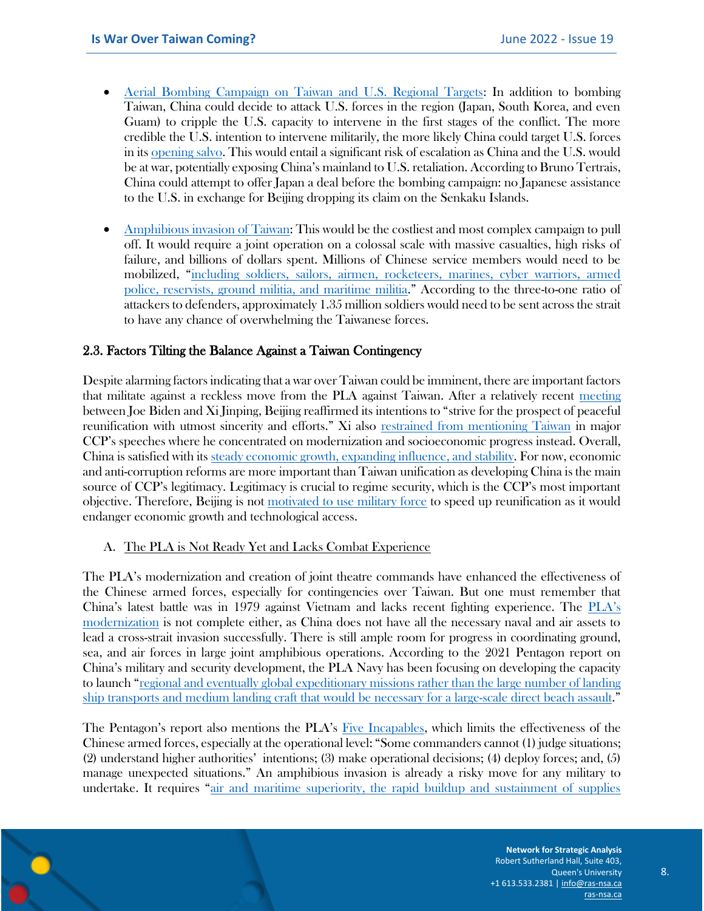- Aerial [Bombing Campaign on Taiwan and U.S. Regional Targets:](https://warontherocks.com/2022/04/leaderless-cut-off-and-alone-the-risks-to-taiwan-in-the-wake-of-ukraine/) In addition to bombing Taiwan, China could decide to attack U.S. forces in the region (Japan, South Korea, and even Guam) to cripple the U.S. capacity to intervene in the first stages of the conflict. The more credible the U.S. intention to intervene militarily, the more likely China could target U.S. forces in it[s opening salvo.](https://www.foreignaffairs.com/articles/china/2021-06-03/china-taiwan-war-temptation) This would entail a significant risk of escalation as China and the U.S. would be at war, potentially exposing China's mainland to U.S. retaliation. According to Bruno Tertrais, China could attempt to offer Japan a deal before the bombing campaign: no Japanese assistance to the U.S. in exchange for Beijing dropping its claim on the Senkaku Islands.
- [Amphibious invasion of Taiwan:](https://www.atlanticcouncil.org/content-series/reality-check/reality-check-10-china-will-not-invade-taiwan/) This would be the costliest and most complex campaign to pull off. It would require a joint operation on a colossal scale with massive casualties, high risks of failure, and billions of dollars spent. Millions of Chinese service members would need to be mobilized, "[including soldiers, sailors, airmen, rocketeers, marines, cyber warriors, armed](https://thediplomat.com/2021/05/why-a-taiwan-invasion-would-look-nothing-like-d-day/)  [police, reservists, ground militia, and maritime militia](https://thediplomat.com/2021/05/why-a-taiwan-invasion-would-look-nothing-like-d-day/)." According to the three-to-one ratio of attackers to defenders, approximately 1.35 million soldiers would need to be sent across the strait to have any chance of overwhelming the Taiwanese forces.

#### 2.3. Factors Tilting the Balance Against a Taiwan Contingency

Despite alarming factors indicating that a war over Taiwan could be imminent, there are important factors that militate against a reckless move from the PLA against Taiwan. After a relatively recent [meeting](https://newrepublic.com/article/164485/why-china-will-not-invade-taiwan) between Joe Biden and Xi Jinping, Beijing reaffirmed its intentions to "strive for the prospect of peaceful reunification with utmost sincerity and efforts." Xi also [restrained from mentioning Taiwan](https://www.rand.org/blog/2021/11/taiwan-is-safe-until-at-least-2027-but-with-one-big.html) in major CCP's speeches where he concentrated on modernization and socioeconomic progress instead. Overall, China is satisfied with its [steady economic growth, expanding influence, and stability.](https://www.rand.org/pubs/research_reports/RR3144.html) For now, economic and anti-corruption reforms are more important than Taiwan unification as developing China is the main source of CCP's legitimacy. Legitimacy is crucial to regime security, which is the CCP's most important objective. Therefore, Beijing is not [motivated to use military force](https://www.rand.org/pubs/research_reports/RR3144.html) to speed up reunification as it would endanger economic growth and technological access.

#### A. The PLA is Not Ready Yet and Lacks Combat Experience

The PLA's modernization and creation of joint theatre commands have enhanced the effectiveness of the Chinese armed forces, especially for contingencies over Taiwan. But one must remember that China's latest battle was in 1979 against Vietnam and lacks recent fighting experience. The [PLA's](https://www.foreignaffairs.com/articles/china/2021-08-09/strait-emergency)  [modernization](https://www.foreignaffairs.com/articles/china/2021-08-09/strait-emergency) is not complete either, as China does not have all the necessary naval and air assets to lead a cross-strait invasion successfully. There is still ample room for progress in coordinating ground, sea, and air forces in large joint amphibious operations. According to the 2021 Pentagon report on China's military and security development, the PLA Navy has been focusing on developing the capacity to launch "[regional and eventually global expeditionary missions rather than the large number of landing](https://media.defense.gov/2021/Nov/03/2002885874/-1/-1/0/2021-CMPR-FINAL.PDF)  [ship transports and medium landing craft that would be necessary for a large-scale direct beach assault](https://media.defense.gov/2021/Nov/03/2002885874/-1/-1/0/2021-CMPR-FINAL.PDF)."

The Pentagon's report also mentions the PLA's [Five Incapables,](https://media.defense.gov/2021/Nov/03/2002885874/-1/-1/0/2021-CMPR-FINAL.PDF) which limits the effectiveness of the Chinese armed forces, especially at the operational level: "Some commanders cannot (1) judge situations; (2) understand higher authorities' intentions; (3) make operational decisions; (4) deploy forces; and, (5) manage unexpected situations." An amphibious invasion is already a risky move for any military to undertake. It requires "[air and maritime superiority, the rapid buildup and sustainment of supplies](https://newrepublic.com/article/164485/why-china-will-not-invade-taiwan)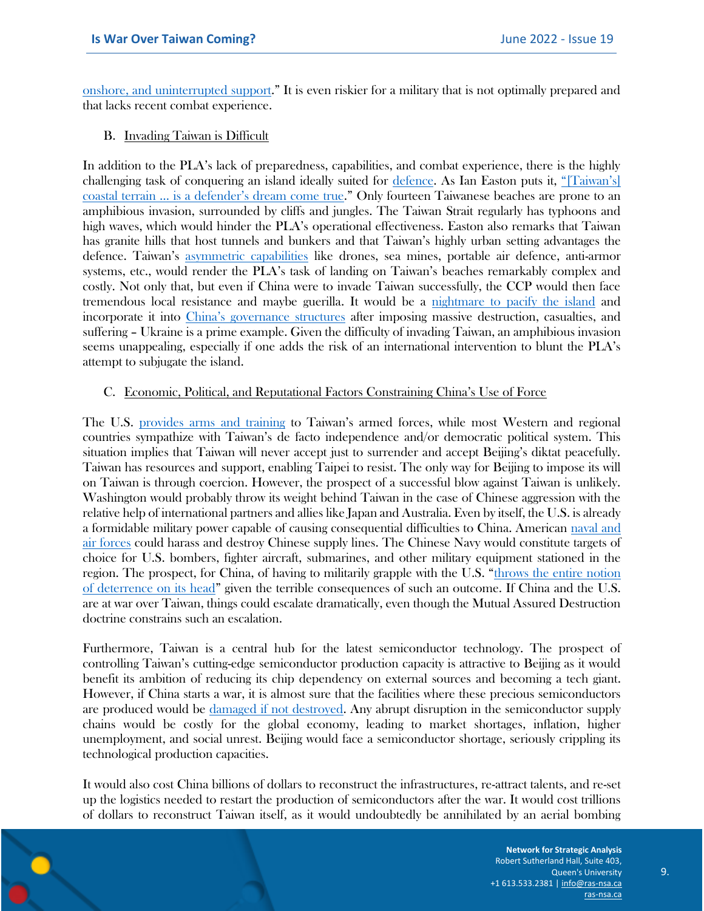[onshore, and uninterrupted support](https://newrepublic.com/article/164485/why-china-will-not-invade-taiwan)." It is even riskier for a military that is not optimally prepared and that lacks recent combat experience.

#### B. Invading Taiwan is Difficult

In addition to the PLA's lack of preparedness, capabilities, and combat experience, there is the highly challenging task of conquering an island ideally suited for [defence.](https://newrepublic.com/article/164485/why-china-will-not-invade-taiwan) As Ian Easton puts it, ["\[Taiwan's\]](https://thediplomat.com/2021/05/why-a-taiwan-invasion-would-look-nothing-like-d-day/)  [coastal terrain … is a defender's dream come true.](https://thediplomat.com/2021/05/why-a-taiwan-invasion-would-look-nothing-like-d-day/)" Only fourteen Taiwanese beaches are prone to an amphibious invasion, surrounded by cliffs and jungles. The Taiwan Strait regularly has typhoons and high waves, which would hinder the PLA's operational effectiveness. Easton also remarks that Taiwan has granite hills that host tunnels and bunkers and that Taiwan's highly urban setting advantages the defence. Taiwan's [asymmetric capabilities](https://www.geostrategy.org.uk/research/taiwan-in-the-next-decade-no-war-but-much-tension/) like drones, sea mines, portable air defence, anti-armor systems, etc., would render the PLA's task of landing on Taiwan's beaches remarkably complex and costly. Not only that, but even if China were to invade Taiwan successfully, the CCP would then face tremendous local resistance and maybe guerilla. It would be a [nightmare to pacify the island](https://newrepublic.com/article/164485/why-china-will-not-invade-taiwan) and incorporate it into [China's governance structures](https://www.eiu.com/n/is-war-between-china-and-taiwan-inevitable/) after imposing massive destruction, casualties, and suffering – Ukraine is a prime example. Given the difficulty of invading Taiwan, an amphibious invasion seems unappealing, especially if one adds the risk of an international intervention to blunt the PLA's attempt to subjugate the island.

#### C. Economic, Political, and Reputational Factors Constraining China's Use of Force

The U.S. [provides arms and training](https://thehill.com/opinion/international/581524-chinas-move-on-taiwan-is-all-but-inevitable-unless-biden-stops-it/) to Taiwan's armed forces, while most Western and regional countries sympathize with Taiwan's de facto independence and/or democratic political system. This situation implies that Taiwan will never accept just to surrender and accept Beijing's diktat peacefully. Taiwan has resources and support, enabling Taipei to resist. The only way for Beijing to impose its will on Taiwan is through coercion. However, the prospect of a successful blow against Taiwan is unlikely. Washington would probably throw its weight behind Taiwan in the case of Chinese aggression with the relative help of international partners and allies like Japan and Australia. Even by itself, the U.S. is already a formidable military power capable of causing consequential difficulties to China. American [naval and](https://newrepublic.com/article/164485/why-china-will-not-invade-taiwan)  [air forces](https://newrepublic.com/article/164485/why-china-will-not-invade-taiwan) could harass and destroy Chinese supply lines. The Chinese Navy would constitute targets of choice for U.S. bombers, fighter aircraft, submarines, and other military equipment stationed in the region. The prospect, for China, of having to militarily grapple with the U.S. "[throws the entire notion](https://newrepublic.com/article/164485/why-china-will-not-invade-taiwan)  [of deterrence on its head](https://newrepublic.com/article/164485/why-china-will-not-invade-taiwan)" given the terrible consequences of such an outcome. If China and the U.S. are at war over Taiwan, things could escalate dramatically, even though the Mutual Assured Destruction doctrine constrains such an escalation.

Furthermore, Taiwan is a central hub for the latest semiconductor technology. The prospect of controlling Taiwan's cutting-edge semiconductor production capacity is attractive to Beijing as it would benefit its ambition of reducing its chip dependency on external sources and becoming a tech giant. However, if China starts a war, it is almost sure that the facilities where these precious semiconductors are produced would be [damaged if not destroyed.](https://www.bloomberg.com/news/features/2021-01-25/the-world-is-dangerously-dependent-on-taiwan-for-semiconductors) Any abrupt disruption in the semiconductor supply chains would be costly for the global economy, leading to market shortages, inflation, higher unemployment, and social unrest. Beijing would face a semiconductor shortage, seriously crippling its technological production capacities.

It would also cost China billions of dollars to reconstruct the infrastructures, re-attract talents, and re-set up the logistics needed to restart the production of semiconductors after the war. It would cost trillions of dollars to reconstruct Taiwan itself, as it would undoubtedly be annihilated by an aerial bombing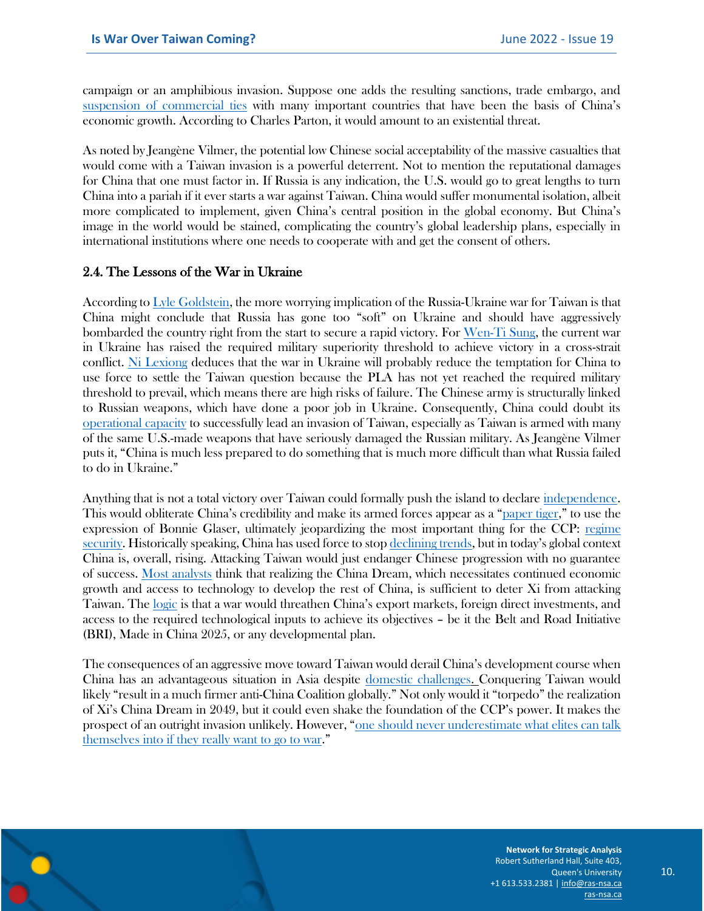campaign or an amphibious invasion. Suppose one adds the resulting sanctions, trade embargo, and [suspension of commercial ties](https://newrepublic.com/article/164485/why-china-will-not-invade-taiwan) with many important countries that have been the basis of China's economic growth. According to Charles Parton, it would amount to an existential threat.

As noted by Jeangène Vilmer, the potential low Chinese social acceptability of the massive casualties that would come with a Taiwan invasion is a powerful deterrent. Not to mention the reputational damages for China that one must factor in. If Russia is any indication, the U.S. would go to great lengths to turn China into a pariah if it ever starts a war against Taiwan. China would suffer monumental isolation, albeit more complicated to implement, given China's central position in the global economy. But China's image in the world would be stained, complicating the country's global leadership plans, especially in international institutions where one needs to cooperate with and get the consent of others.

#### 2.4. The Lessons of the War in Ukraine

According to [Lyle Goldstein,](https://peacediplomacy.org/2022/03/09/march-15-panel-chinas-role-in-the-ukraine-russia-war/) the more worrying implication of the Russia-Ukraine war for Taiwan is that China might conclude that Russia has gone too "soft" on Ukraine and should have aggressively bombarded the country right from the start to secure a rapid victory. For [Wen-Ti Sung,](https://www.bloomberg.com/news/features/2022-03-07/what-china-s-xi-is-learning-about-taiwan-from-putin-s-war-in-ukraine) the current war in Ukraine has raised the required military superiority threshold to achieve victory in a cross-strait conflict. [Ni Lexiong](https://www.bloomberg.com/news/features/2022-03-07/what-china-s-xi-is-learning-about-taiwan-from-putin-s-war-in-ukraine) deduces that the war in Ukraine will probably reduce the temptation for China to use force to settle the Taiwan question because the PLA has not yet reached the required military threshold to prevail, which means there are high risks of failure. The Chinese army is structurally linked to Russian weapons, which have done a poor job in Ukraine. Consequently, China could doubt its [operational capacity](https://www.foreignaffairs.com/articles/china/2022-05-16/what-china-learning-russias-war-ukraine?utm_medium=social&utm_source=twitter_posts&utm_campaign=tw_daily_soc) to successfully lead an invasion of Taiwan, especially as Taiwan is armed with many of the same U.S.-made weapons that have seriously damaged the Russian military. As Jeangène Vilmer puts it, "China is much less prepared to do something that is much more difficult than what Russia failed to do in Ukraine."

Anything that is not a total victory over Taiwan could formally push the island to declare [independence.](https://foreignpolicy.com/2021/10/20/china-property-crisis-economic-slowdown/) This would obliterate China's credibility and make its armed forces appear as a "[paper tiger](https://foreignpolicy.com/2020/05/15/chinas-provocations-around-taiwan-arent-a-crisis/)," to use the expression of Bonnie Glaser, ultimately jeopardizing the most important thing for the CCP: [regime](https://www.foreignaffairs.com/articles/china/2021-08-09/strait-emergency)  [security.](https://www.foreignaffairs.com/articles/china/2021-08-09/strait-emergency) Historically speaking, China has used force to stop [declining trends](https://cdn.cfr.org/sites/default/files/report_pdf/medeirosdp_final-no.-3.pdf), but in today's global context China is, overall, rising. Attacking Taiwan would just endanger Chinese progression with no guarantee of success. [Most analysts](https://www.foreignaffairs.com/articles/china/2021-06-03/china-taiwan-war-temptation) think that realizing the China Dream, which necessitates continued economic growth and access to technology to develop the rest of China, is sufficient to deter Xi from attacking Taiwan. The [logic](https://foreignpolicy.com/2020/05/15/chinas-provocations-around-taiwan-arent-a-crisis/) is that a war would threathen China's export markets, foreign direct investments, and access to the required technological inputs to achieve its objectives – be it the Belt and Road Initiative (BRI), Made in China 2025, or any developmental plan.

The consequences of an aggressive move toward Taiwan would derail China's development course when China has an advantageous situation in Asia despite [domestic challenges.](https://foreignpolicy.com/2021/10/20/china-property-crisis-economic-slowdown/) Conquering Taiwan would likely "result in a much firmer anti-China Coalition globally." Not only would it "torpedo" the realization of Xi's China Dream in 2049, but it could even shake the foundation of the CCP's power. It makes the prospect of an outright invasion unlikely. However, "[one should never underestimate what elites can talk](https://foreignpolicy.com/2022/06/02/will-teaching-aggressors-a-lesson-deter-future-wars/)  [themselves into if they really want to go to war](https://foreignpolicy.com/2022/06/02/will-teaching-aggressors-a-lesson-deter-future-wars/)."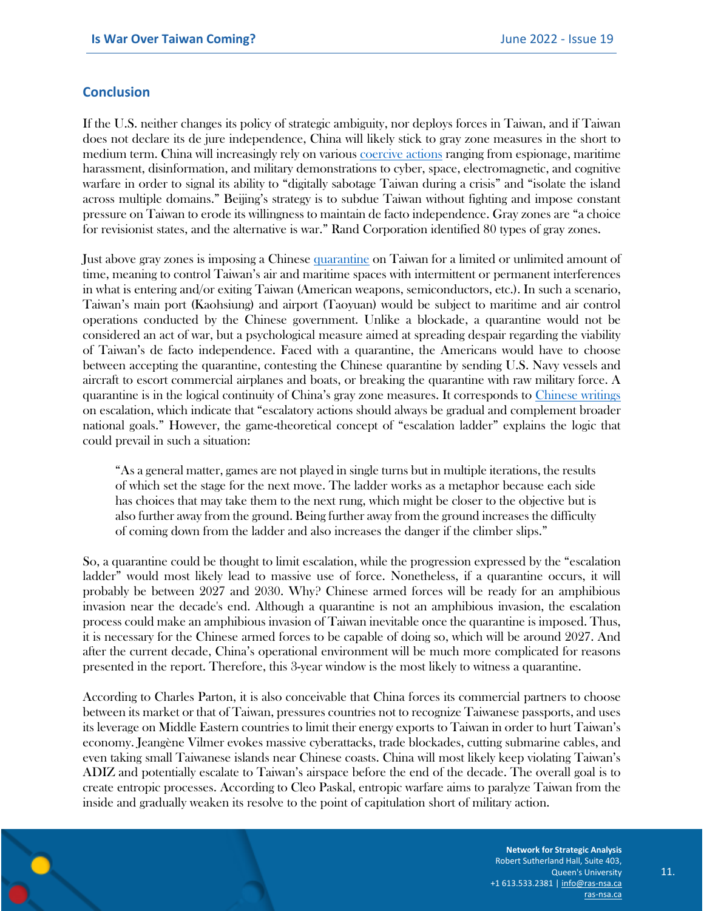#### **Conclusion**

If the U.S. neither changes its policy of strategic ambiguity, nor deploys forces in Taiwan, and if Taiwan does not declare its de jure independence, China will likely stick to gray zone measures in the short to medium term. China will increasingly rely on various [coercive actions](https://www.csis.org/analysis/shadow-risk-what-crisis-simulations-reveal-about-dangers-deferring-us-responses-chinas-gray) ranging from espionage, maritime harassment, disinformation, and military demonstrations to cyber, space, electromagnetic, and cognitive warfare in order to signal its ability to "digitally sabotage Taiwan during a crisis" and "isolate the island across multiple domains." Beijing's strategy is to subdue Taiwan without fighting and impose constant pressure on Taiwan to erode its willingness to maintain de facto independence. Gray zones are "a choice for revisionist states, and the alternative is war." Rand Corporation identified 80 types of gray zones.

Just above gray zones is imposing a Chinese [quarantine](https://www.rand.org/content/dam/rand/pubs/research_reports/RRA1200/RRA1279-1/RAND_RRA1279-1.pdf) on Taiwan for a limited or unlimited amount of time, meaning to control Taiwan's air and maritime spaces with intermittent or permanent interferences in what is entering and/or exiting Taiwan (American weapons, semiconductors, etc.). In such a scenario, Taiwan's main port (Kaohsiung) and airport (Taoyuan) would be subject to maritime and air control operations conducted by the Chinese government. Unlike a blockade, a quarantine would not be considered an act of war, but a psychological measure aimed at spreading despair regarding the viability of Taiwan's de facto independence. Faced with a quarantine, the Americans would have to choose between accepting the quarantine, contesting the Chinese quarantine by sending U.S. Navy vessels and aircraft to escort commercial airplanes and boats, or breaking the quarantine with raw military force. A quarantine is in the logical continuity of China's gray zone measures. It corresponds to [Chinese writings](https://www.rand.org/content/dam/rand/pubs/research_reports/RRA1200/RRA1279-1/RAND_RRA1279-1.pdf) on escalation, which indicate that "escalatory actions should always be gradual and complement broader national goals." However, the game-theoretical concept of "escalation ladder" explains the logic that could prevail in such a situation:

"As a general matter, games are not played in single turns but in multiple iterations, the results of which set the stage for the next move. The ladder works as a metaphor because each side has choices that may take them to the next rung, which might be closer to the objective but is also further away from the ground. Being further away from the ground increases the difficulty of coming down from the ladder and also increases the danger if the climber slips."

So, a quarantine could be thought to limit escalation, while the progression expressed by the "escalation ladder" would most likely lead to massive use of force. Nonetheless, if a quarantine occurs, it will probably be between 2027 and 2030. Why? Chinese armed forces will be ready for an amphibious invasion near the decade's end. Although a quarantine is not an amphibious invasion, the escalation process could make an amphibious invasion of Taiwan inevitable once the quarantine is imposed. Thus, it is necessary for the Chinese armed forces to be capable of doing so, which will be around 2027. And after the current decade, China's operational environment will be much more complicated for reasons presented in the report. Therefore, this 3-year window is the most likely to witness a quarantine.

According to Charles Parton, it is also conceivable that China forces its commercial partners to choose between its market or that of Taiwan, pressures countries not to recognize Taiwanese passports, and uses its leverage on Middle Eastern countries to limit their energy exports to Taiwan in order to hurt Taiwan's economy. Jeangène Vilmer evokes massive cyberattacks, trade blockades, cutting submarine cables, and even taking small Taiwanese islands near Chinese coasts. China will most likely keep violating Taiwan's ADIZ and potentially escalate to Taiwan's airspace before the end of the decade. The overall goal is to create entropic processes. According to Cleo Paskal, entropic warfare aims to paralyze Taiwan from the inside and gradually weaken its resolve to the point of capitulation short of military action.